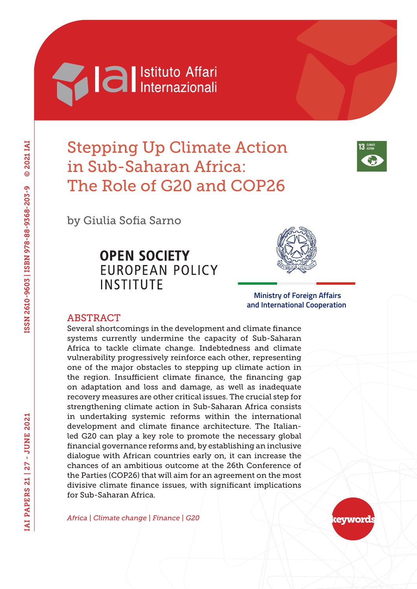# **Machia Al Internazionali**

# Stepping Up Climate Action in Sub-Saharan Africa: The Role of G20 and COP26



by Giulia Sofia Sarno

# **OPEN SOCIETY EUROPEAN POLICY INSTITUTE**



 **Ministry of Foreign Affairs and International Cooperation**

## ABSTRACT

Several shortcomings in the development and climate finance systems currently undermine the capacity of Sub-Saharan Africa to tackle climate change. Indebtedness and climate vulnerability progressively reinforce each other, representing one of the major obstacles to stepping up climate action in the region. Insufficient climate finance, the financing gap on adaptation and loss and damage, as well as inadequate recovery measures are other critical issues. The crucial step for strengthening climate action in Sub-Saharan Africa consists in undertaking systemic reforms within the international development and climate finance architecture. The Italianled G20 can play a key role to promote the necessary global financial governance reforms and, by establishing an inclusive dialogue with African countries early on, it can increase the chances of an ambitious outcome at the 26th Conference of the Parties (COP26) that will aim for an agreement on the most divisive climate finance issues, with significant implications for Sub-Saharan Africa.

*Africa | Climate change | Finance | G20*

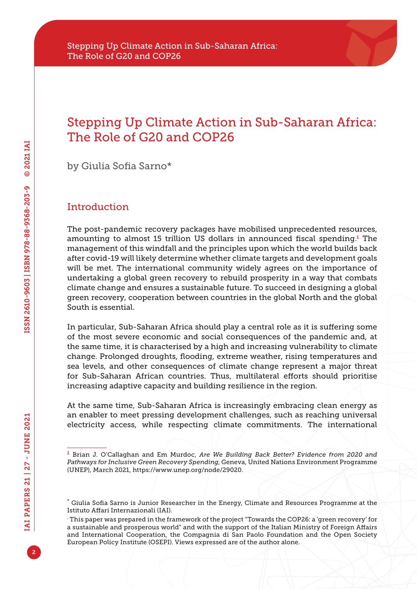# Stepping Up Climate Action in Sub-Saharan Africa: The Role of G20 and COP26

by Giulia Sofia Sarno\*

# Introduction

The post-pandemic recovery packages have mobilised unprecedented resources, amounting to almost 15 trillion US dollars in announced fiscal spending.<sup>1</sup> The management of this windfall and the principles upon which the world builds back after covid-19 will likely determine whether climate targets and development goals will be met. The international community widely agrees on the importance of undertaking a global green recovery to rebuild prosperity in a way that combats climate change and ensures a sustainable future. To succeed in designing a global green recovery, cooperation between countries in the global North and the global South is essential.

In particular, Sub-Saharan Africa should play a central role as it is suffering some of the most severe economic and social consequences of the pandemic and, at the same time, it is characterised by a high and increasing vulnerability to climate change. Prolonged droughts, flooding, extreme weather, rising temperatures and sea levels, and other consequences of climate change represent a major threat for Sub-Saharan African countries. Thus, multilateral efforts should prioritise increasing adaptive capacity and building resilience in the region.

At the same time, Sub-Saharan Africa is increasingly embracing clean energy as an enabler to meet pressing development challenges, such as reaching universal electricity access, while respecting climate commitments. The international

<sup>1</sup> Brian J. O'Callaghan and Em Murdoc, *Are We Building Back Better? Evidence from 2020 and Pathways for Inclusive Green Recovery Spending*, Geneva, United Nations Environment Programme (UNEP), March 2021,<https://www.unep.org/node/29020>.

<sup>\*</sup> Giulia Sofia Sarno is Junior Researcher in the Energy, Climate and Resources Programme at the Istituto Affari Internazionali (IAI).

<sup>.</sup> This paper was prepared in the framework of the project "Towards the COP26: a 'green recovery' for a sustainable and prosperous world" and with the support of the Italian Ministry of Foreign Affairs and International Cooperation, the Compagnia di San Paolo Foundation and the Open Society European Policy Institute (OSEPI). Views expressed are of the author alone.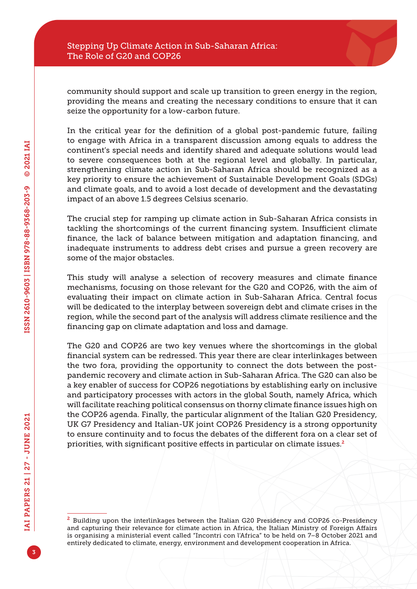community should support and scale up transition to green energy in the region, providing the means and creating the necessary conditions to ensure that it can seize the opportunity for a low-carbon future.

In the critical year for the definition of a global post-pandemic future, failing to engage with Africa in a transparent discussion among equals to address the continent's special needs and identify shared and adequate solutions would lead to severe consequences both at the regional level and globally. In particular, strengthening climate action in Sub-Saharan Africa should be recognized as a key priority to ensure the achievement of Sustainable Development Goals (SDGs) and climate goals, and to avoid a lost decade of development and the devastating impact of an above 1.5 degrees Celsius scenario.

The crucial step for ramping up climate action in Sub-Saharan Africa consists in tackling the shortcomings of the current financing system. Insufficient climate finance, the lack of balance between mitigation and adaptation financing, and inadequate instruments to address debt crises and pursue a green recovery are some of the major obstacles.

This study will analyse a selection of recovery measures and climate finance mechanisms, focusing on those relevant for the G20 and COP26, with the aim of evaluating their impact on climate action in Sub-Saharan Africa. Central focus will be dedicated to the interplay between sovereign debt and climate crises in the region, while the second part of the analysis will address climate resilience and the financing gap on climate adaptation and loss and damage.

The G20 and COP26 are two key venues where the shortcomings in the global financial system can be redressed. This year there are clear interlinkages between the two fora, providing the opportunity to connect the dots between the postpandemic recovery and climate action in Sub-Saharan Africa. The G20 can also be a key enabler of success for COP26 negotiations by establishing early on inclusive and participatory processes with actors in the global South, namely Africa, which will facilitate reaching political consensus on thorny climate finance issues high on the COP26 agenda. Finally, the particular alignment of the Italian G20 Presidency, UK G7 Presidency and Italian-UK joint COP26 Presidency is a strong opportunity to ensure continuity and to focus the debates of the different fora on a clear set of priorities, with significant positive effects in particular on climate issues.<sup>2</sup>

<sup>&</sup>lt;sup>2</sup> Building upon the interlinkages between the Italian G20 Presidency and COP26 co-Presidency and capturing their relevance for climate action in Africa, the Italian Ministry of Foreign Affairs is organising a ministerial event called "Incontri con l'Africa" to be held on 7–8 October 2021 and entirely dedicated to climate, energy, environment and development cooperation in Africa.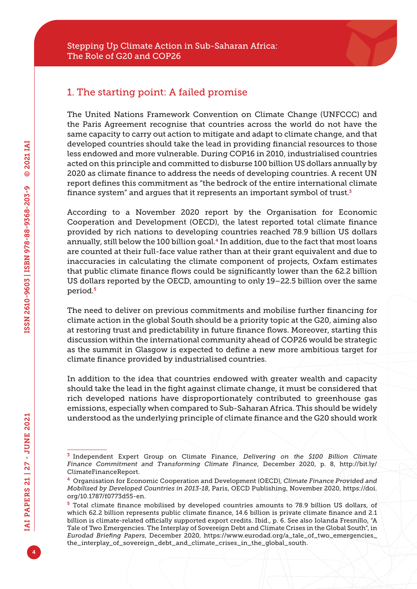## 1. The starting point: A failed promise

The United Nations Framework Convention on Climate Change (UNFCCC) and the Paris Agreement recognise that countries across the world do not have the same capacity to carry out action to mitigate and adapt to climate change, and that developed countries should take the lead in providing financial resources to those less endowed and more vulnerable. During COP16 in 2010, industrialised countries acted on this principle and committed to disburse 100 billion US dollars annually by 2020 as climate finance to address the needs of developing countries. A recent UN report defines this commitment as "the bedrock of the entire international climate finance system" and argues that it represents an important symbol of trust. $3$ 

According to a November 2020 report by the Organisation for Economic Cooperation and Development (OECD), the latest reported total climate finance provided by rich nations to developing countries reached 78.9 billion US dollars annually, still below the 100 billion goal.4 In addition, due to the fact that most loans are counted at their full-face value rather than at their grant equivalent and due to inaccuracies in calculating the climate component of projects, Oxfam estimates that public climate finance flows could be significantly lower than the 62.2 billion US dollars reported by the OECD, amounting to only 19–22.5 billion over the same period.<sup>5</sup>

The need to deliver on previous commitments and mobilise further financing for climate action in the global South should be a priority topic at the G20, aiming also at restoring trust and predictability in future finance flows. Moreover, starting this discussion within the international community ahead of COP26 would be strategic as the summit in Glasgow is expected to define a new more ambitious target for climate finance provided by industrialised countries.

In addition to the idea that countries endowed with greater wealth and capacity should take the lead in the fight against climate change, it must be considered that rich developed nations have disproportionately contributed to greenhouse gas emissions, especially when compared to Sub-Saharan Africa. This should be widely understood as the underlying principle of climate finance and the G20 should work

<sup>3</sup> Independent Expert Group on Climate Finance, *Delivering on the \$100 Billion Climate Finance Commitment and Transforming Climate Finance*, December 2020, p. 8, [http://bit.ly/](http://bit.ly/ClimateFinanceReport) [ClimateFinanceReport](http://bit.ly/ClimateFinanceReport).

<sup>4</sup> Organisation for Economic Cooperation and Development (OECD), *Climate Finance Provided and Mobilised by Developed Countries in 2013-18*, Paris, OECD Publishing, November 2020, [https://doi.](https://doi.org/10.1787/f0773d55-en) [org/10.1787/f0773d55-en](https://doi.org/10.1787/f0773d55-en).

<sup>5</sup> Total climate finance mobilised by developed countries amounts to 78.9 billion US dollars, of which 62.2 billion represents public climate finance, 14.6 billion is private climate finance and 2.1 billion is climate-related officially supported export credits. Ibid., p. 6. See also Iolanda Fresnillo, "A Tale of Two Emergencies. The Interplay of Sovereign Debt and Climate Crises in the Global South", in *Eurodad Briefing Papers*, December 2020, [https://www.eurodad.org/a\\_tale\\_of\\_two\\_emergencies\\_](https://www.eurodad.org/a_tale_of_two_emergencies_the_interplay_of_sovereign_debt_and_climate_crises_in_the_global_south) [the\\_interplay\\_of\\_sovereign\\_debt\\_and\\_climate\\_crises\\_in\\_the\\_global\\_south.](https://www.eurodad.org/a_tale_of_two_emergencies_the_interplay_of_sovereign_debt_and_climate_crises_in_the_global_south)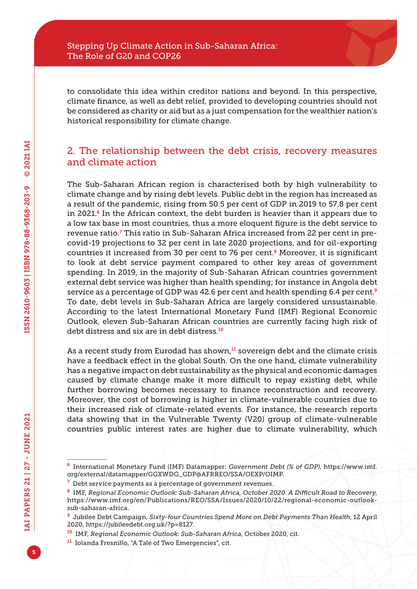to consolidate this idea within creditor nations and beyond. In this perspective, climate finance, as well as debt relief, provided to developing countries should not be considered as charity or aid but as a just compensation for the wealthier nation's historical responsibility for climate change.

# 2. The relationship between the debt crisis, recovery measures and climate action

The Sub-Saharan African region is characterised both by high vulnerability to climate change and by rising debt levels. Public debt in the region has increased as a result of the pandemic, rising from 50.5 per cent of GDP in 2019 to 57.8 per cent in 2021. $6$  In the African context, the debt burden is heavier than it appears due to a low tax base in most countries, thus a more eloquent figure is the debt service to revenue ratio.<sup>7</sup> This ratio in Sub-Saharan Africa increased from 22 per cent in precovid-19 projections to 32 per cent in late 2020 projections, and for oil-exporting countries it increased from 30 per cent to 76 per cent. $8$  Moreover, it is significant to look at debt service payment compared to other key areas of government spending. In 2019, in the majority of Sub-Saharan African countries government external debt service was higher than health spending; for instance in Angola debt service as a percentage of GDP was 42.6 per cent and health spending 6.4 per cent.<sup>9</sup> To date, debt levels in Sub-Saharan Africa are largely considered unsustainable. According to the latest International Monetary Fund (IMF) Regional Economic Outlook, eleven Sub-Saharan African countries are currently facing high risk of debt distress and six are in debt distress.<sup>10</sup>

As a recent study from Eurodad has shown, $11$  sovereign debt and the climate crisis have a feedback effect in the global South. On the one hand, climate vulnerability has a negative impact on debt sustainability as the physical and economic damages caused by climate change make it more difficult to repay existing debt, while further borrowing becomes necessary to finance reconstruction and recovery. Moreover, the cost of borrowing is higher in climate-vulnerable countries due to their increased risk of climate-related events. For instance, the research reports data showing that in the Vulnerable Twenty (V20) group of climate-vulnerable countries public interest rates are higher due to climate vulnerability, which

<sup>6</sup> International Monetary Fund (IMF) Datamapper: *Government Debt (% of GDP)*, [https://www.imf.](https://www.imf.org/external/datamapper/GGXWDG_GDP@AFRREO/SSA/OEXP/OIMP) [org/external/datamapper/GGXWDG\\_GDP@AFRREO/SSA/OEXP/OIMP.](https://www.imf.org/external/datamapper/GGXWDG_GDP@AFRREO/SSA/OEXP/OIMP)

 $7$  Debt service payments as a percentage of government revenues.

<sup>8</sup> IMF, *Regional Economic Outlook: Sub-Saharan Africa, October 2020. A Difficult Road to Recovery*, [https://www.imf.org/en/Publications/REO/SSA/Issues/2020/10/22/regional-economic-outlook](https://www.imf.org/en/Publications/REO/SSA/Issues/2020/10/22/regional-economic-outlook-sub-saharan-africa)[sub-saharan-africa](https://www.imf.org/en/Publications/REO/SSA/Issues/2020/10/22/regional-economic-outlook-sub-saharan-africa).

<sup>9</sup> Jubilee Debt Campaign, *Sixty-four Countries Spend More on Debt Payments Than Health*, 12 April 2020, [https://jubileedebt.org.uk/?p=8127.](https://jubileedebt.org.uk/?p=8127)

<sup>10</sup> IMF, *Regional Economic Outlook: Sub-Saharan Africa*, October 2020, cit.

<sup>11</sup> Iolanda Fresnillo, "A Tale of Two Emergencies", cit.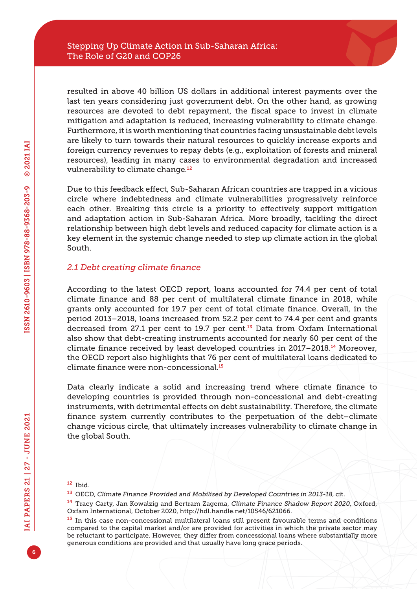resulted in above 40 billion US dollars in additional interest payments over the last ten years considering just government debt. On the other hand, as growing resources are devoted to debt repayment, the fiscal space to invest in climate mitigation and adaptation is reduced, increasing vulnerability to climate change. Furthermore, it is worth mentioning that countries facing unsustainable debt levels are likely to turn towards their natural resources to quickly increase exports and foreign currency revenues to repay debts (e.g., exploitation of forests and mineral resources), leading in many cases to environmental degradation and increased vulnerability to climate change<sup>12</sup>

Due to this feedback effect, Sub-Saharan African countries are trapped in a vicious circle where indebtedness and climate vulnerabilities progressively reinforce each other. Breaking this circle is a priority to effectively support mitigation and adaptation action in Sub-Saharan Africa. More broadly, tackling the direct relationship between high debt levels and reduced capacity for climate action is a key element in the systemic change needed to step up climate action in the global South.

#### *2.1 Debt creating climate finance*

According to the latest OECD report, loans accounted for 74.4 per cent of total climate finance and 88 per cent of multilateral climate finance in 2018, while grants only accounted for 19.7 per cent of total climate finance. Overall, in the period 2013–2018, loans increased from 52.2 per cent to 74.4 per cent and grants decreased from 27.1 per cent to 19.7 per cent.<sup>13</sup> Data from Oxfam International also show that debt-creating instruments accounted for nearly 60 per cent of the climate finance received by least developed countries in 2017–2018.14 Moreover, the OECD report also highlights that 76 per cent of multilateral loans dedicated to climate finance were non-concessional.<sup>15</sup>

Data clearly indicate a solid and increasing trend where climate finance to developing countries is provided through non-concessional and debt-creating instruments, with detrimental effects on debt sustainability. Therefore, the climate finance system currently contributes to the perpetuation of the debt–climate change vicious circle, that ultimately increases vulnerability to climate change in the global South.

<sup>12</sup> Ibid.

<sup>13</sup> OECD, *Climate Finance Provided and Mobilised by Developed Countries in 2013-18*, cit.

<sup>14</sup> Tracy Carty, Jan Kowalzig and Bertram Zagema, *Climate Finance Shadow Report 2020*, Oxford, Oxfam International, October 2020, [http://hdl.handle.net/10546/621066.](http://hdl.handle.net/10546/621066)

<sup>&</sup>lt;sup>15</sup> In this case non-concessional multilateral loans still present favourable terms and conditions compared to the capital market and/or are provided for activities in which the private sector may be reluctant to participate. However, they differ from concessional loans where substantially more generous conditions are provided and that usually have long grace periods.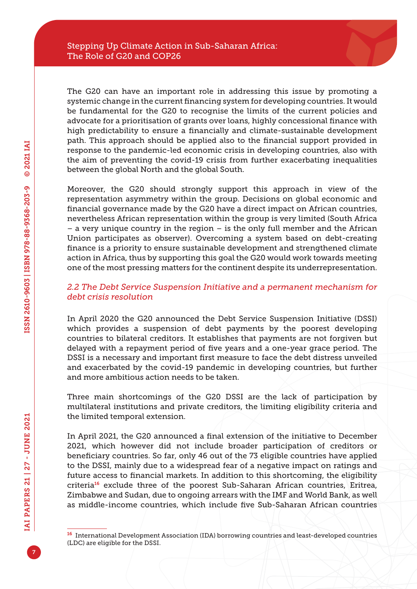The G20 can have an important role in addressing this issue by promoting a systemic change in the current financing system for developing countries. It would be fundamental for the G20 to recognise the limits of the current policies and advocate for a prioritisation of grants over loans, highly concessional finance with high predictability to ensure a financially and climate-sustainable development path. This approach should be applied also to the financial support provided in response to the pandemic-led economic crisis in developing countries, also with the aim of preventing the covid-19 crisis from further exacerbating inequalities between the global North and the global South.

Moreover, the G20 should strongly support this approach in view of the representation asymmetry within the group. Decisions on global economic and financial governance made by the G20 have a direct impact on African countries, nevertheless African representation within the group is very limited (South Africa – a very unique country in the region – is the only full member and the African Union participates as observer). Overcoming a system based on debt-creating finance is a priority to ensure sustainable development and strengthened climate action in Africa, thus by supporting this goal the G20 would work towards meeting one of the most pressing matters for the continent despite its underrepresentation.

#### *2.2 The Debt Service Suspension Initiative and a permanent mechanism for debt crisis resolution*

In April 2020 the G20 announced the Debt Service Suspension Initiative (DSSI) which provides a suspension of debt payments by the poorest developing countries to bilateral creditors. It establishes that payments are not forgiven but delayed with a repayment period of five years and a one-year grace period. The DSSI is a necessary and important first measure to face the debt distress unveiled and exacerbated by the covid-19 pandemic in developing countries, but further and more ambitious action needs to be taken.

Three main shortcomings of the G20 DSSI are the lack of participation by multilateral institutions and private creditors, the limiting eligibility criteria and the limited temporal extension.

In April 2021, the G20 announced a final extension of the initiative to December 2021, which however did not include broader participation of creditors or beneficiary countries. So far, only 46 out of the 73 eligible countries have applied to the DSSI, mainly due to a widespread fear of a negative impact on ratings and future access to financial markets. In addition to this shortcoming, the eligibility criteria<sup>16</sup> exclude three of the poorest Sub-Saharan African countries, Eritrea, Zimbabwe and Sudan, due to ongoing arrears with the IMF and World Bank, as well as middle-income countries, which include five Sub-Saharan African countries

<sup>16</sup> International Development Association (IDA) borrowing countries and least-developed countries (LDC) are eligible for the DSSI.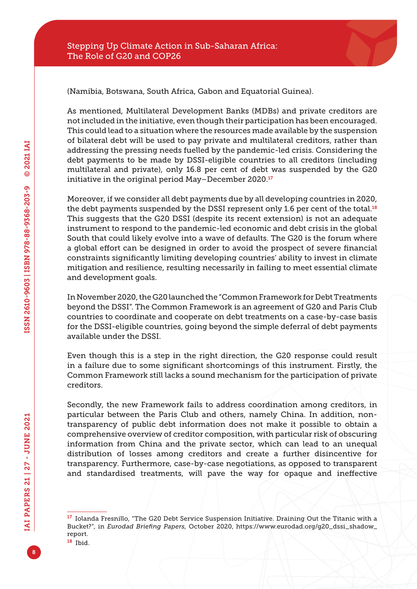

(Namibia, Botswana, South Africa, Gabon and Equatorial Guinea).

As mentioned, Multilateral Development Banks (MDBs) and private creditors are not included in the initiative, even though their participation has been encouraged. This could lead to a situation where the resources made available by the suspension of bilateral debt will be used to pay private and multilateral creditors, rather than addressing the pressing needs fuelled by the pandemic-led crisis. Considering the debt payments to be made by DSSI-eligible countries to all creditors (including multilateral and private), only 16.8 per cent of debt was suspended by the G20 initiative in the original period May-December 2020.<sup>17</sup>

Moreover, if we consider all debt payments due by all developing countries in 2020, the debt payments suspended by the DSSI represent only 1.6 per cent of the total.<sup>18</sup> This suggests that the G20 DSSI (despite its recent extension) is not an adequate instrument to respond to the pandemic-led economic and debt crisis in the global South that could likely evolve into a wave of defaults. The G20 is the forum where a global effort can be designed in order to avoid the prospect of severe financial constraints significantly limiting developing countries' ability to invest in climate mitigation and resilience, resulting necessarily in failing to meet essential climate and development goals.

In November 2020, the G20 launched the "Common Framework for Debt Treatments beyond the DSSI". The Common Framework is an agreement of G20 and Paris Club countries to coordinate and cooperate on debt treatments on a case-by-case basis for the DSSI-eligible countries, going beyond the simple deferral of debt payments available under the DSSI.

Even though this is a step in the right direction, the G20 response could result in a failure due to some significant shortcomings of this instrument. Firstly, the Common Framework still lacks a sound mechanism for the participation of private creditors.

Secondly, the new Framework fails to address coordination among creditors, in particular between the Paris Club and others, namely China. In addition, nontransparency of public debt information does not make it possible to obtain a comprehensive overview of creditor composition, with particular risk of obscuring information from China and the private sector, which can lead to an unequal distribution of losses among creditors and create a further disincentive for transparency. Furthermore, case-by-case negotiations, as opposed to transparent and standardised treatments, will pave the way for opaque and ineffective

<sup>17</sup> Iolanda Fresnillo, "The G20 Debt Service Suspension Initiative. Draining Out the Titanic with a Bucket?", in *Eurodad Briefing Papers*, October 2020, [https://www.eurodad.org/g20\\_dssi\\_shadow\\_](https://www.eurodad.org/g20_dssi_shadow_report) [report.](https://www.eurodad.org/g20_dssi_shadow_report)

<sup>18</sup> Ibid.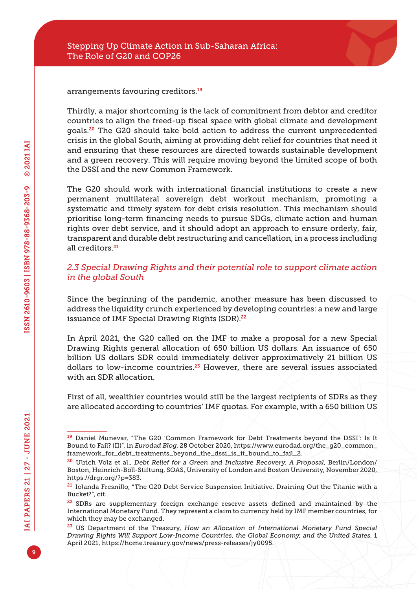arrangements favouring creditors.<sup>19</sup>

Thirdly, a major shortcoming is the lack of commitment from debtor and creditor countries to align the freed-up fiscal space with global climate and development goals.20 The G20 should take bold action to address the current unprecedented crisis in the global South, aiming at providing debt relief for countries that need it and ensuring that these resources are directed towards sustainable development and a green recovery. This will require moving beyond the limited scope of both the DSSI and the new Common Framework.

The G20 should work with international financial institutions to create a new permanent multilateral sovereign debt workout mechanism, promoting a systematic and timely system for debt crisis resolution. This mechanism should prioritise long-term financing needs to pursue SDGs, climate action and human rights over debt service, and it should adopt an approach to ensure orderly, fair, transparent and durable debt restructuring and cancellation, in a process including all creditors.<sup>21</sup>

#### *2.3 Special Drawing Rights and their potential role to support climate action in the global South*

Since the beginning of the pandemic, another measure has been discussed to address the liquidity crunch experienced by developing countries: a new and large issuance of IMF Special Drawing Rights (SDR).<sup>22</sup>

In April 2021, the G20 called on the IMF to make a proposal for a new Special Drawing Rights general allocation of 650 billion US dollars. An issuance of 650 billion US dollars SDR could immediately deliver approximatively 21 billion US dollars to low-income countries.<sup>23</sup> However, there are several issues associated with an SDR allocation.

First of all, wealthier countries would still be the largest recipients of SDRs as they are allocated according to countries' IMF quotas. For example, with a 650 billion US

<sup>19</sup> Daniel Munevar, "The G20 'Common Framework for Debt Treatments beyond the DSSI': Is It Bound to Fail? (II)", in *Eurodad Blog*, 28 October 2020, [https://www.eurodad.org/the\\_g20\\_common\\_](https://www.eurodad.org/the_g20_common_framework_for_debt_treatments_beyond_the_dssi_is_it_bound_to_fail_2) [framework\\_for\\_debt\\_treatments\\_beyond\\_the\\_dssi\\_is\\_it\\_bound\\_to\\_fail\\_2.](https://www.eurodad.org/the_g20_common_framework_for_debt_treatments_beyond_the_dssi_is_it_bound_to_fail_2)

<sup>20</sup> Ulrich Volz et al., *Debt Relief for a Green and Inclusive Recovery. A Proposal*, Berlin/London/ Boston, Heinrich-Böll-Stiftung, SOAS, University of London and Boston University, November 2020, [https://drgr.org/?p=383.](https://drgr.org/?p=383)

<sup>&</sup>lt;sup>21</sup> Iolanda Fresnillo, "The G20 Debt Service Suspension Initiative. Draining Out the Titanic with a Bucket?", cit.

<sup>&</sup>lt;sup>22</sup> SDRs are supplementary foreign exchange reserve assets defined and maintained by the International Monetary Fund. They represent a claim to currency held by IMF member countries, for which they may be exchanged.

<sup>23</sup> US Department of the Treasury, *How an Allocation of International Monetary Fund Special Drawing Rights Will Support Low-Income Countries, the Global Economy, and the United States*, 1 April 2021, [https://home.treasury.gov/news/press-releases/jy0095.](https://home.treasury.gov/news/press-releases/jy0095)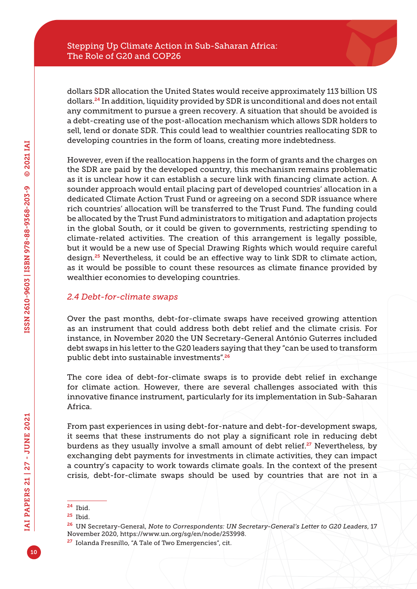dollars SDR allocation the United States would receive approximately 113 billion US dollars.24 In addition, liquidity provided by SDR is unconditional and does not entail any commitment to pursue a green recovery. A situation that should be avoided is a debt-creating use of the post-allocation mechanism which allows SDR holders to sell, lend or donate SDR. This could lead to wealthier countries reallocating SDR to developing countries in the form of loans, creating more indebtedness.

However, even if the reallocation happens in the form of grants and the charges on the SDR are paid by the developed country, this mechanism remains problematic as it is unclear how it can establish a secure link with financing climate action. A sounder approach would entail placing part of developed countries' allocation in a dedicated Climate Action Trust Fund or agreeing on a second SDR issuance where rich countries' allocation will be transferred to the Trust Fund. The funding could be allocated by the Trust Fund administrators to mitigation and adaptation projects in the global South, or it could be given to governments, restricting spending to climate-related activities. The creation of this arrangement is legally possible, but it would be a new use of Special Drawing Rights which would require careful design.25 Nevertheless, it could be an effective way to link SDR to climate action, as it would be possible to count these resources as climate finance provided by wealthier economies to developing countries.

### *2.4 Debt-for-climate swaps*

Over the past months, debt-for-climate swaps have received growing attention as an instrument that could address both debt relief and the climate crisis. For instance, in November 2020 the UN Secretary-General António Guterres included debt swaps in his letter to the G20 leaders saying that they "can be used to transform public debt into sustainable investments".<sup>26</sup>

The core idea of debt-for-climate swaps is to provide debt relief in exchange for climate action. However, there are several challenges associated with this innovative finance instrument, particularly for its implementation in Sub-Saharan Africa.

From past experiences in using debt-for-nature and debt-for-development swaps, it seems that these instruments do not play a significant role in reducing debt burdens as they usually involve a small amount of debt relief.<sup>27</sup> Nevertheless, by exchanging debt payments for investments in climate activities, they can impact a country's capacity to work towards climate goals. In the context of the present crisis, debt-for-climate swaps should be used by countries that are not in a

<sup>24</sup> Ibid.

<sup>25</sup> Ibid.

<sup>26</sup> UN Secretary-General, *Note to Correspondents: UN Secretary-General's Letter to G20 Leaders*, 17 November 2020,<https://www.un.org/sg/en/node/253998>.

<sup>27</sup> Iolanda Fresnillo, "A Tale of Two Emergencies", cit.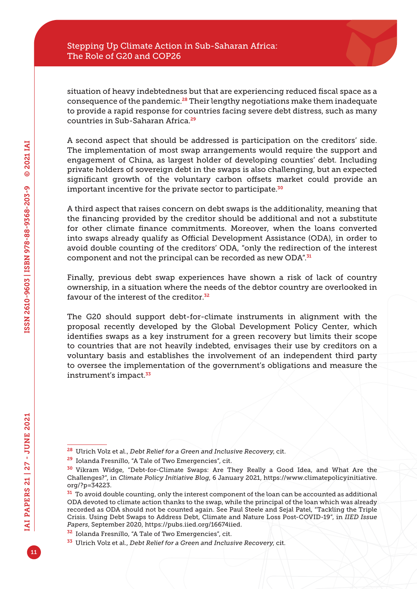situation of heavy indebtedness but that are experiencing reduced fiscal space as a consequence of the pandemic.28 Their lengthy negotiations make them inadequate to provide a rapid response for countries facing severe debt distress, such as many countries in Sub-Saharan Africa.<sup>29</sup>

A second aspect that should be addressed is participation on the creditors' side. The implementation of most swap arrangements would require the support and engagement of China, as largest holder of developing counties' debt. Including private holders of sovereign debt in the swaps is also challenging, but an expected significant growth of the voluntary carbon offsets market could provide an important incentive for the private sector to participate.<sup>30</sup>

A third aspect that raises concern on debt swaps is the additionality, meaning that the financing provided by the creditor should be additional and not a substitute for other climate finance commitments. Moreover, when the loans converted into swaps already qualify as Official Development Assistance (ODA), in order to avoid double counting of the creditors' ODA, "only the redirection of the interest component and not the principal can be recorded as new ODA".<sup>31</sup>

Finally, previous debt swap experiences have shown a risk of lack of country ownership, in a situation where the needs of the debtor country are overlooked in favour of the interest of the creditor<sup>32</sup>

The G20 should support debt-for-climate instruments in alignment with the proposal recently developed by the Global Development Policy Center, which identifies swaps as a key instrument for a green recovery but limits their scope to countries that are not heavily indebted, envisages their use by creditors on a voluntary basis and establishes the involvement of an independent third party to oversee the implementation of the government's obligations and measure the instrument's impact.<sup>33</sup>

<sup>28</sup> Ulrich Volz et al., *Debt Relief for a Green and Inclusive Recovery*, cit.

<sup>29</sup> Iolanda Fresnillo, "A Tale of Two Emergencies", cit.

<sup>30</sup> Vikram Widge, "Debt-for-Climate Swaps: Are They Really a Good Idea, and What Are the Challenges?", in *Climate Policy Initiative Blog*, 6 January 2021, [https://www.climatepolicyinitiative.](https://www.climatepolicyinitiative.org/?p=34223) [org/?p=34223.](https://www.climatepolicyinitiative.org/?p=34223)

 $31$  To avoid double counting, only the interest component of the loan can be accounted as additional ODA devoted to climate action thanks to the swap, while the principal of the loan which was already recorded as ODA should not be counted again. See Paul Steele and Sejal Patel, "Tackling the Triple Crisis. Using Debt Swaps to Address Debt, Climate and Nature Loss Post-COVID-19", in *IIED Issue Papers*, September 2020, <https://pubs.iied.org/16674iied>.

<sup>32</sup> Iolanda Fresnillo, "A Tale of Two Emergencies", cit.

<sup>33</sup> Ulrich Volz et al., *Debt Relief for a Green and Inclusive Recovery*, cit.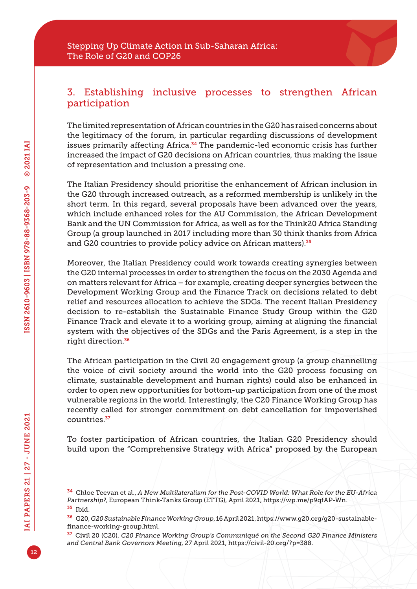# 3. Establishing inclusive processes to strengthen African participation

The limited representation of African countries in the G20 has raised concerns about the legitimacy of the forum, in particular regarding discussions of development issues primarily affecting Africa.<sup>34</sup> The pandemic-led economic crisis has further increased the impact of G20 decisions on African countries, thus making the issue of representation and inclusion a pressing one.

The Italian Presidency should prioritise the enhancement of African inclusion in the G20 through increased outreach, as a reformed membership is unlikely in the short term. In this regard, several proposals have been advanced over the years, which include enhanced roles for the AU Commission, the African Development Bank and the UN Commission for Africa, as well as for the Think20 Africa Standing Group (a group launched in 2017 including more than 30 think thanks from Africa and G20 countries to provide policy advice on African matters).<sup>35</sup>

Moreover, the Italian Presidency could work towards creating synergies between the G20 internal processes in order to strengthen the focus on the 2030 Agenda and on matters relevant for Africa – for example, creating deeper synergies between the Development Working Group and the Finance Track on decisions related to debt relief and resources allocation to achieve the SDGs. The recent Italian Presidency decision to re-establish the Sustainable Finance Study Group within the G20 Finance Track and elevate it to a working group, aiming at aligning the financial system with the objectives of the SDGs and the Paris Agreement, is a step in the right direction.<sup>36</sup>

The African participation in the Civil 20 engagement group (a group channelling the voice of civil society around the world into the G20 process focusing on climate, sustainable development and human rights) could also be enhanced in order to open new opportunities for bottom-up participation from one of the most vulnerable regions in the world. Interestingly, the C20 Finance Working Group has recently called for stronger commitment on debt cancellation for impoverished countries.<sup>37</sup>

To foster participation of African countries, the Italian G20 Presidency should build upon the "Comprehensive Strategy with Africa" proposed by the European

<sup>34</sup> Chloe Teevan et al., *A New Multilateralism for the Post-COVID World: What Role for the EU-Africa Partnership?*, European Think-Tanks Group (ETTG), April 2021, <https://wp.me/p9qfAP-Wn>.

<sup>35</sup> Ibid.

<sup>36</sup> G20, *G20 Sustainable Finance Working Group*, 16 April 2021, [https://www.g20.org/g20-sustainable](https://www.g20.org/g20-sustainable-finance-working-group.html)[finance-working-group.html.](https://www.g20.org/g20-sustainable-finance-working-group.html)

<sup>37</sup> Civil 20 (C20), *C20 Finance Working Group's Communiqué on the Second G20 Finance Ministers and Central Bank Governors Meeting*, 27 April 2021, [https://civil-20.org/?p=388.](https://civil-20.org/?p=388)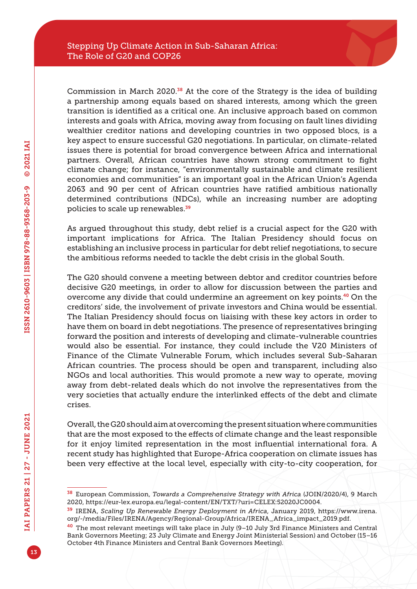Commission in March 2020.38 At the core of the Strategy is the idea of building a partnership among equals based on shared interests, among which the green transition is identified as a critical one. An inclusive approach based on common interests and goals with Africa, moving away from focusing on fault lines dividing wealthier creditor nations and developing countries in two opposed blocs, is a key aspect to ensure successful G20 negotiations. In particular, on climate-related issues there is potential for broad convergence between Africa and international partners. Overall, African countries have shown strong commitment to fight climate change; for instance, "environmentally sustainable and climate resilient economies and communities" is an important goal in the African Union's Agenda 2063 and 90 per cent of African countries have ratified ambitious nationally determined contributions (NDCs), while an increasing number are adopting policies to scale up renewables.<sup>39</sup>

As argued throughout this study, debt relief is a crucial aspect for the G20 with important implications for Africa. The Italian Presidency should focus on establishing an inclusive process in particular for debt relief negotiations, to secure the ambitious reforms needed to tackle the debt crisis in the global South.

The G20 should convene a meeting between debtor and creditor countries before decisive G20 meetings, in order to allow for discussion between the parties and overcome any divide that could undermine an agreement on key points.40 On the creditors' side, the involvement of private investors and China would be essential. The Italian Presidency should focus on liaising with these key actors in order to have them on board in debt negotiations. The presence of representatives bringing forward the position and interests of developing and climate-vulnerable countries would also be essential. For instance, they could include the V20 Ministers of Finance of the Climate Vulnerable Forum, which includes several Sub-Saharan African countries. The process should be open and transparent, including also NGOs and local authorities. This would promote a new way to operate, moving away from debt-related deals which do not involve the representatives from the very societies that actually endure the interlinked effects of the debt and climate crises.

Overall, the G20 should aim at overcoming the present situation where communities that are the most exposed to the effects of climate change and the least responsible for it enjoy limited representation in the most influential international fora. A recent study has highlighted that Europe-Africa cooperation on climate issues has been very effective at the local level, especially with city-to-city cooperation, for

<sup>38</sup> European Commission, *Towards a Comprehensive Strategy with Africa* (JOIN/2020/4), 9 March 2020, [https://eur-lex.europa.eu/legal-content/EN/TXT/?uri=CELEX:52020JC0004.](https://eur-lex.europa.eu/legal-content/EN/TXT/?uri=CELEX:52020JC0004)

<sup>39</sup> IRENA, *Scaling Up Renewable Energy Deployment in Africa*, January 2019, [https://www.irena.](https://www.irena.org/-/media/Files/IRENA/Agency/Regional-Group/Africa/IRENA_Africa_impact_2019.pdf) [org/-/media/Files/IRENA/Agency/Regional-Group/Africa/IRENA\\_Africa\\_impact\\_2019.pdf](https://www.irena.org/-/media/Files/IRENA/Agency/Regional-Group/Africa/IRENA_Africa_impact_2019.pdf).

<sup>40</sup> The most relevant meetings will take place in July (9–10 July 3rd Finance Ministers and Central Bank Governors Meeting; 23 July Climate and Energy Joint Ministerial Session) and October (15–16 October 4th Finance Ministers and Central Bank Governors Meeting).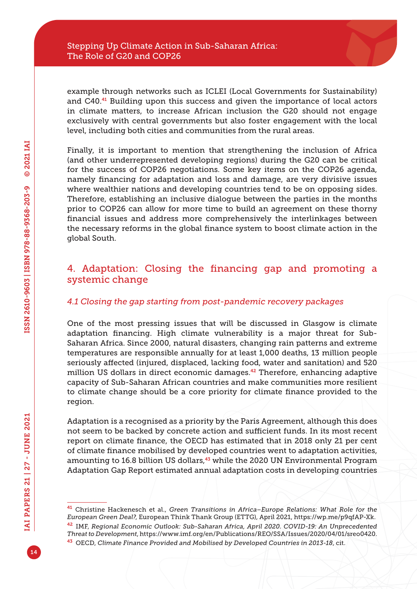example through networks such as ICLEI (Local Governments for Sustainability) and C40.41 Building upon this success and given the importance of local actors in climate matters, to increase African inclusion the G20 should not engage exclusively with central governments but also foster engagement with the local level, including both cities and communities from the rural areas.

Finally, it is important to mention that strengthening the inclusion of Africa (and other underrepresented developing regions) during the G20 can be critical for the success of COP26 negotiations. Some key items on the COP26 agenda, namely financing for adaptation and loss and damage, are very divisive issues where wealthier nations and developing countries tend to be on opposing sides. Therefore, establishing an inclusive dialogue between the parties in the months prior to COP26 can allow for more time to build an agreement on these thorny financial issues and address more comprehensively the interlinkages between the necessary reforms in the global finance system to boost climate action in the global South.

# 4. Adaptation: Closing the financing gap and promoting a systemic change

### *4.1 Closing the gap starting from post-pandemic recovery packages*

One of the most pressing issues that will be discussed in Glasgow is climate adaptation financing. High climate vulnerability is a major threat for Sub-Saharan Africa. Since 2000, natural disasters, changing rain patterns and extreme temperatures are responsible annually for at least 1,000 deaths, 13 million people seriously affected (injured, displaced, lacking food, water and sanitation) and 520 million US dollars in direct economic damages.<sup>42</sup> Therefore, enhancing adaptive capacity of Sub-Saharan African countries and make communities more resilient to climate change should be a core priority for climate finance provided to the region.

Adaptation is a recognised as a priority by the Paris Agreement, although this does not seem to be backed by concrete action and sufficient funds. In its most recent report on climate finance, the OECD has estimated that in 2018 only 21 per cent of climate finance mobilised by developed countries went to adaptation activities, amounting to 16.8 billion US dollars,<sup>43</sup> while the 2020 UN Environmental Program Adaptation Gap Report estimated annual adaptation costs in developing countries

<sup>41</sup> Christine Hackenesch et al., *Green Transitions in Africa–Europe Relations: What Role for the European Green Deal?*, European Think Thank Group (ETTG), April 2021, <https://wp.me/p9qfAP-Xk>. <sup>42</sup> IMF, *Regional Economic Outlook: Sub-Saharan Africa, April 2020. COVID-19: An Unprecedented Threat to Development*,<https://www.imf.org/en/Publications/REO/SSA/Issues/2020/04/01/sreo0420>. <sup>43</sup> OECD, *Climate Finance Provided and Mobilised by Developed Countries in 2013-18*, cit.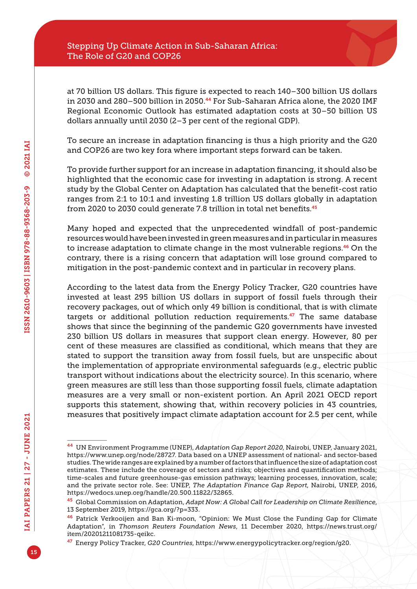at 70 billion US dollars. This figure is expected to reach 140–300 billion US dollars in 2030 and 280–500 billion in 2050.44 For Sub-Saharan Africa alone, the 2020 IMF Regional Economic Outlook has estimated adaptation costs at 30–50 billion US dollars annually until 2030 (2–3 per cent of the regional GDP).

To secure an increase in adaptation financing is thus a high priority and the G20 and COP26 are two key fora where important steps forward can be taken.

To provide further support for an increase in adaptation financing, it should also be highlighted that the economic case for investing in adaptation is strong. A recent study by the Global Center on Adaptation has calculated that the benefit-cost ratio ranges from 2:1 to 10:1 and investing 1.8 trillion US dollars globally in adaptation from 2020 to 2030 could generate 7.8 trillion in total net benefits.<sup>45</sup>

Many hoped and expected that the unprecedented windfall of post-pandemic resources would have been invested in green measures and in particular in measures to increase adaptation to climate change in the most vulnerable regions.<sup>46</sup> On the contrary, there is a rising concern that adaptation will lose ground compared to mitigation in the post-pandemic context and in particular in recovery plans.

According to the latest data from the Energy Policy Tracker, G20 countries have invested at least 295 billion US dollars in support of fossil fuels through their recovery packages, out of which only 49 billion is conditional, that is with climate targets or additional pollution reduction requirements.<sup>47</sup> The same database shows that since the beginning of the pandemic G20 governments have invested 230 billion US dollars in measures that support clean energy. However, 80 per cent of these measures are classified as conditional, which means that they are stated to support the transition away from fossil fuels, but are unspecific about the implementation of appropriate environmental safeguards (e.g., electric public transport without indications about the electricity source). In this scenario, where green measures are still less than those supporting fossil fuels, climate adaptation measures are a very small or non-existent portion. An April 2021 OECD report supports this statement, showing that, within recovery policies in 43 countries, measures that positively impact climate adaptation account for 2.5 per cent, while

<sup>44</sup> UN Environment Programme (UNEP), *Adaptation Gap Report 2020*, Nairobi, UNEP, January 2021, [https://www.unep.org/node/28727.](https://www.unep.org/node/28727) Data based on a UNEP assessment of national- and sector-based studies. The wide ranges are explained by a number of factors that influence the size of adaptation cost estimates. These include the coverage of sectors and risks; objectives and quantification methods; time-scales and future greenhouse-gas emission pathways; learning processes, innovation, scale; and the private sector role. See: UNEP, *The Adaptation Finance Gap Report*, Nairobi, UNEP, 2016, <https://wedocs.unep.org/handle/20.500.11822/32865>.

<sup>45</sup> Global Commission on Adaptation, *Adapt Now: A Global Call for Leadership on Climate Resilience*, 13 September 2019, [https://gca.org/?p=333.](https://gca.org/?p=333)

<sup>46</sup> Patrick Verkooijen and Ban Ki-moon, "Opinion: We Must Close the Funding Gap for Climate Adaptation", in *Thomson Reuters Foundation News*, 11 December 2020, [https://news.trust.org/](https://news.trust.org/item/20201211081735-qeikc) [item/20201211081735-qeikc.](https://news.trust.org/item/20201211081735-qeikc)

<sup>47</sup> Energy Policy Tracker, *G20 Countries*, [https://www.energypolicytracker.org/region/g20.](https://www.energypolicytracker.org/region/g20)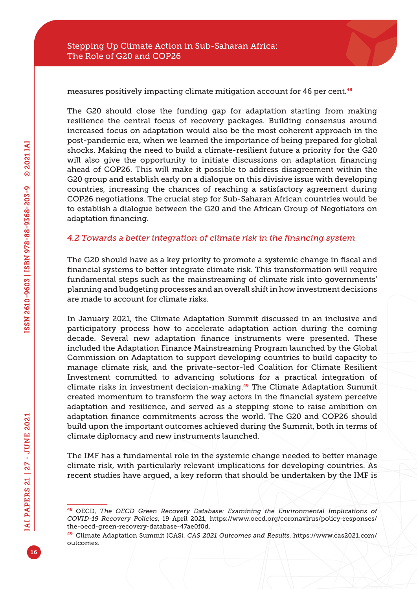

measures positively impacting climate mitigation account for 46 per cent.<sup>48</sup>

The G20 should close the funding gap for adaptation starting from making resilience the central focus of recovery packages. Building consensus around increased focus on adaptation would also be the most coherent approach in the post-pandemic era, when we learned the importance of being prepared for global shocks. Making the need to build a climate-resilient future a priority for the G20 will also give the opportunity to initiate discussions on adaptation financing ahead of COP26. This will make it possible to address disagreement within the G20 group and establish early on a dialogue on this divisive issue with developing countries, increasing the chances of reaching a satisfactory agreement during COP26 negotiations. The crucial step for Sub-Saharan African countries would be to establish a dialogue between the G20 and the African Group of Negotiators on adaptation financing.

#### *4.2 Towards a better integration of climate risk in the financing system*

The G20 should have as a key priority to promote a systemic change in fiscal and financial systems to better integrate climate risk. This transformation will require fundamental steps such as the mainstreaming of climate risk into governments' planning and budgeting processes and an overall shift in how investment decisions are made to account for climate risks.

In January 2021, the Climate Adaptation Summit discussed in an inclusive and participatory process how to accelerate adaptation action during the coming decade. Several new adaptation finance instruments were presented. These included the Adaptation Finance Mainstreaming Program launched by the Global Commission on Adaptation to support developing countries to build capacity to manage climate risk, and the private-sector-led Coalition for Climate Resilient Investment committed to advancing solutions for a practical integration of climate risks in investment decision-making.49 The Climate Adaptation Summit created momentum to transform the way actors in the financial system perceive adaptation and resilience, and served as a stepping stone to raise ambition on adaptation finance commitments across the world. The G20 and COP26 should build upon the important outcomes achieved during the Summit, both in terms of climate diplomacy and new instruments launched.

The IMF has a fundamental role in the systemic change needed to better manage climate risk, with particularly relevant implications for developing countries. As recent studies have argued, a key reform that should be undertaken by the IMF is

<sup>48</sup> OECD, *The OECD Green Recovery Database: Examining the Environmental Implications of COVID-19 Recovery Policies*, 19 April 2021, [https://www.oecd.org/coronavirus/policy-responses/](https://www.oecd.org/coronavirus/policy-responses/the-oecd-green-recovery-database-47ae0f0d) [the-oecd-green-recovery-database-47ae0f0d](https://www.oecd.org/coronavirus/policy-responses/the-oecd-green-recovery-database-47ae0f0d).

<sup>49</sup> Climate Adaptation Summit (CAS), *CAS 2021 Outcomes and Results*, [https://www.cas2021.com/](https://www.cas2021.com/outcomes) [outcomes.](https://www.cas2021.com/outcomes)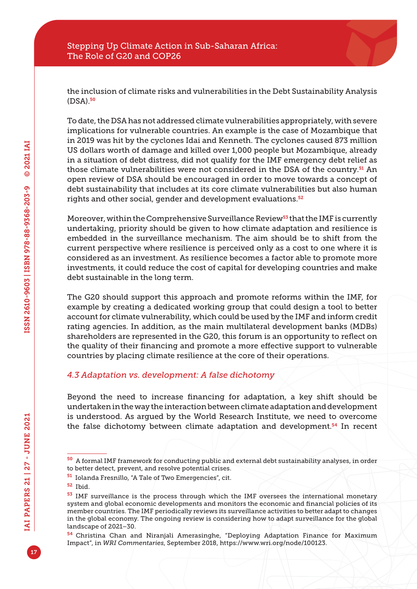the inclusion of climate risks and vulnerabilities in the Debt Sustainability Analysis (DSA).<sup>50</sup>

To date, the DSA has not addressed climate vulnerabilities appropriately, with severe implications for vulnerable countries. An example is the case of Mozambique that in 2019 was hit by the cyclones Idai and Kenneth. The cyclones caused 873 million US dollars worth of damage and killed over 1,000 people but Mozambique, already in a situation of debt distress, did not qualify for the IMF emergency debt relief as those climate vulnerabilities were not considered in the DSA of the country.<sup>51</sup> An open review of DSA should be encouraged in order to move towards a concept of debt sustainability that includes at its core climate vulnerabilities but also human rights and other social, gender and development evaluations.<sup>52</sup>

Moreover, within the Comprehensive Surveillance Review<sup>53</sup> that the IMF is currently undertaking, priority should be given to how climate adaptation and resilience is embedded in the surveillance mechanism. The aim should be to shift from the current perspective where resilience is perceived only as a cost to one where it is considered as an investment. As resilience becomes a factor able to promote more investments, it could reduce the cost of capital for developing countries and make debt sustainable in the long term.

The G20 should support this approach and promote reforms within the IMF, for example by creating a dedicated working group that could design a tool to better account for climate vulnerability, which could be used by the IMF and inform credit rating agencies. In addition, as the main multilateral development banks (MDBs) shareholders are represented in the G20, this forum is an opportunity to reflect on the quality of their financing and promote a more effective support to vulnerable countries by placing climate resilience at the core of their operations.

### *4.3 Adaptation vs. development: A false dichotomy*

Beyond the need to increase financing for adaptation, a key shift should be undertaken in the way the interaction between climate adaptation and development is understood. As argued by the World Research Institute, we need to overcome the false dichotomy between climate adaptation and development.54 In recent

<sup>50</sup> A formal IMF framework for conducting public and external debt sustainability analyses, in order to better detect, prevent, and resolve potential crises.

<sup>51</sup> Iolanda Fresnillo, "A Tale of Two Emergencies", cit.

<sup>52</sup> Ibid.

<sup>53</sup> IMF surveillance is the process through which the IMF oversees the international monetary system and global economic developments and monitors the economic and financial policies of its member countries. The IMF periodically reviews its surveillance activities to better adapt to changes in the global economy. The ongoing review is considering how to adapt surveillance for the global landscape of 2021–30.

<sup>54</sup> Christina Chan and Niranjali Amerasinghe, "Deploying Adaptation Finance for Maximum Impact", in *WRI Commentaries*, September 2018, [https://www.wri.org/node/100123.](https://www.wri.org/node/100123)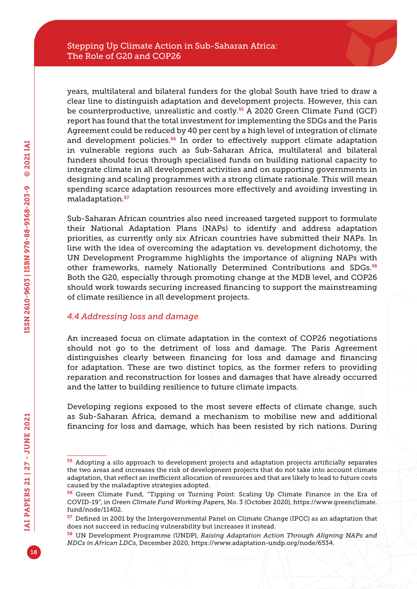years, multilateral and bilateral funders for the global South have tried to draw a clear line to distinguish adaptation and development projects. However, this can be counterproductive, unrealistic and costly.<sup>55</sup> A 2020 Green Climate Fund (GCF) report has found that the total investment for implementing the SDGs and the Paris Agreement could be reduced by 40 per cent by a high level of integration of climate and development policies.<sup>56</sup> In order to effectively support climate adaptation in vulnerable regions such as Sub-Saharan Africa, multilateral and bilateral funders should focus through specialised funds on building national capacity to integrate climate in all development activities and on supporting governments in designing and scaling programmes with a strong climate rationale. This will mean spending scarce adaptation resources more effectively and avoiding investing in maladaptation.<sup>57</sup>

Sub-Saharan African countries also need increased targeted support to formulate their National Adaptation Plans (NAPs) to identify and address adaptation priorities, as currently only six African countries have submitted their NAPs. In line with the idea of overcoming the adaptation vs. development dichotomy, the UN Development Programme highlights the importance of aligning NAPs with other frameworks, namely Nationally Determined Contributions and SDGs.<sup>58</sup> Both the G20, especially through promoting change at the MDB level, and COP26 should work towards securing increased financing to support the mainstreaming of climate resilience in all development projects.

### *4.4 Addressing loss and damage*

An increased focus on climate adaptation in the context of COP26 negotiations should not go to the detriment of loss and damage. The Paris Agreement distinguishes clearly between financing for loss and damage and financing for adaptation. These are two distinct topics, as the former refers to providing reparation and reconstruction for losses and damages that have already occurred and the latter to building resilience to future climate impacts.

Developing regions exposed to the most severe effects of climate change, such as Sub-Saharan Africa, demand a mechanism to mobilise new and additional financing for loss and damage, which has been resisted by rich nations. During

<sup>55</sup> Adopting a silo approach to development projects and adaptation projects artificially separates the two areas and increases the risk of development projects that do not take into account climate adaptation, that reflect an inefficient allocation of resources and that are likely to lead to future costs caused by the maladaptive strategies adopted.

<sup>56</sup> Green Climate Fund, "Tipping or Turning Point: Scaling Up Climate Finance in the Era of COVID-19", in *Green Climate Fund Working Papers*, No. 3 (October 2020), [https://www.greenclimate.](https://www.greenclimate.fund/node/11402) [fund/node/11402.](https://www.greenclimate.fund/node/11402)

<sup>57</sup> Defined in 2001 by the Intergovernmental Panel on Climate Change (IPCC) as an adaptation that does not succeed in reducing vulnerability but increases it instead.

<sup>58</sup> UN Development Programme (UNDP), *Raising Adaptation Action Through Aligning NAPs and NDCs in African LDCs*, December 2020,<https://www.adaptation-undp.org/node/6534>.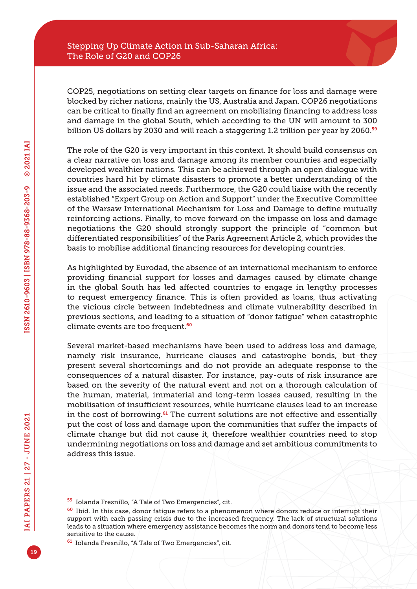COP25, negotiations on setting clear targets on finance for loss and damage were blocked by richer nations, mainly the US, Australia and Japan. COP26 negotiations can be critical to finally find an agreement on mobilising financing to address loss and damage in the global South, which according to the UN will amount to 300 billion US dollars by 2030 and will reach a staggering 1.2 trillion per year by 2060.<sup>59</sup>

The role of the G20 is very important in this context. It should build consensus on a clear narrative on loss and damage among its member countries and especially developed wealthier nations. This can be achieved through an open dialogue with countries hard hit by climate disasters to promote a better understanding of the issue and the associated needs. Furthermore, the G20 could liaise with the recently established "Expert Group on Action and Support" under the Executive Committee of the Warsaw International Mechanism for Loss and Damage to define mutually reinforcing actions. Finally, to move forward on the impasse on loss and damage negotiations the G20 should strongly support the principle of "common but differentiated responsibilities" of the Paris Agreement Article 2, which provides the basis to mobilise additional financing resources for developing countries.

As highlighted by Eurodad, the absence of an international mechanism to enforce providing financial support for losses and damages caused by climate change in the global South has led affected countries to engage in lengthy processes to request emergency finance. This is often provided as loans, thus activating the vicious circle between indebtedness and climate vulnerability described in previous sections, and leading to a situation of "donor fatigue" when catastrophic climate events are too frequent.<sup>60</sup>

Several market-based mechanisms have been used to address loss and damage, namely risk insurance, hurricane clauses and catastrophe bonds, but they present several shortcomings and do not provide an adequate response to the consequences of a natural disaster. For instance, pay-outs of risk insurance are based on the severity of the natural event and not on a thorough calculation of the human, material, immaterial and long-term losses caused, resulting in the mobilisation of insufficient resources, while hurricane clauses lead to an increase in the cost of borrowing.<sup>61</sup> The current solutions are not effective and essentially put the cost of loss and damage upon the communities that suffer the impacts of climate change but did not cause it, therefore wealthier countries need to stop undermining negotiations on loss and damage and set ambitious commitments to address this issue.

<sup>59</sup> Iolanda Fresnillo, "A Tale of Two Emergencies", cit.

<sup>&</sup>lt;sup>60</sup> Ibid. In this case, donor fatigue refers to a phenomenon where donors reduce or interrupt their support with each passing crisis due to the increased frequency. The lack of structural solutions leads to a situation where emergency assistance becomes the norm and donors tend to become less sensitive to the cause.

<sup>61</sup> Iolanda Fresnillo, "A Tale of Two Emergencies", cit.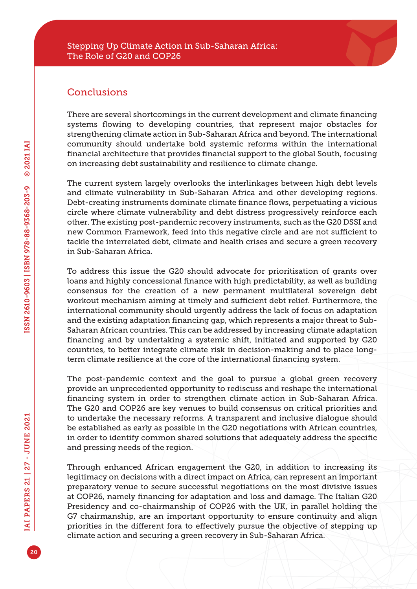# **Conclusions**

There are several shortcomings in the current development and climate financing systems flowing to developing countries, that represent major obstacles for strengthening climate action in Sub-Saharan Africa and beyond. The international community should undertake bold systemic reforms within the international financial architecture that provides financial support to the global South, focusing on increasing debt sustainability and resilience to climate change.

The current system largely overlooks the interlinkages between high debt levels and climate vulnerability in Sub-Saharan Africa and other developing regions. Debt-creating instruments dominate climate finance flows, perpetuating a vicious circle where climate vulnerability and debt distress progressively reinforce each other. The existing post-pandemic recovery instruments, such as the G20 DSSI and new Common Framework, feed into this negative circle and are not sufficient to tackle the interrelated debt, climate and health crises and secure a green recovery in Sub-Saharan Africa.

To address this issue the G20 should advocate for prioritisation of grants over loans and highly concessional finance with high predictability, as well as building consensus for the creation of a new permanent multilateral sovereign debt workout mechanism aiming at timely and sufficient debt relief. Furthermore, the international community should urgently address the lack of focus on adaptation and the existing adaptation financing gap, which represents a major threat to Sub-Saharan African countries. This can be addressed by increasing climate adaptation financing and by undertaking a systemic shift, initiated and supported by G20 countries, to better integrate climate risk in decision-making and to place longterm climate resilience at the core of the international financing system.

The post-pandemic context and the goal to pursue a global green recovery provide an unprecedented opportunity to rediscuss and reshape the international financing system in order to strengthen climate action in Sub-Saharan Africa. The G20 and COP26 are key venues to build consensus on critical priorities and to undertake the necessary reforms. A transparent and inclusive dialogue should be established as early as possible in the G20 negotiations with African countries, in order to identify common shared solutions that adequately address the specific and pressing needs of the region.

Through enhanced African engagement the G20, in addition to increasing its legitimacy on decisions with a direct impact on Africa, can represent an important preparatory venue to secure successful negotiations on the most divisive issues at COP26, namely financing for adaptation and loss and damage. The Italian G20 Presidency and co-chairmanship of COP26 with the UK, in parallel holding the G7 chairmanship, are an important opportunity to ensure continuity and align priorities in the different fora to effectively pursue the objective of stepping up climate action and securing a green recovery in Sub-Saharan Africa.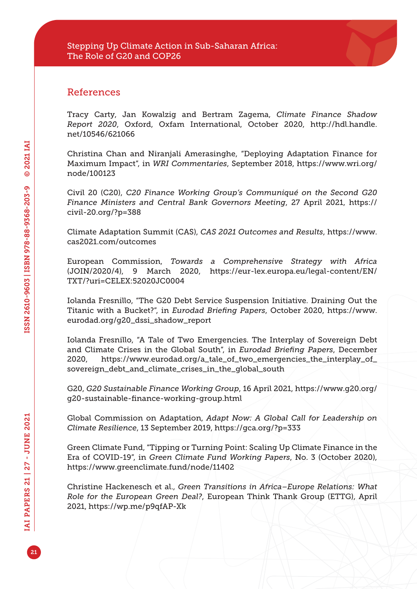## References

Tracy Carty, Jan Kowalzig and Bertram Zagema, *Climate Finance Shadow Report 2020*, Oxford, Oxfam International, October 2020, [http://hdl.handle.](http://hdl.handle.net/10546/621066) [net/10546/621066](http://hdl.handle.net/10546/621066)

Christina Chan and Niranjali Amerasinghe, "Deploying Adaptation Finance for Maximum Impact", in *WRI Commentaries*, September 2018, [https://www.wri.org/](https://www.wri.org/node/100123) [node/100123](https://www.wri.org/node/100123)

Civil 20 (C20), *C20 Finance Working Group's Communiqué on the Second G20 Finance Ministers and Central Bank Governors Meeting*, 27 April 2021, [https://](https://civil-20.org/?p=388) [civil-20.org/?p=388](https://civil-20.org/?p=388)

Climate Adaptation Summit (CAS), *CAS 2021 Outcomes and Results*, [https://www.](https://www.cas2021.com/outcomes) [cas2021.com/outcomes](https://www.cas2021.com/outcomes)

European Commission, *Towards a Comprehensive Strategy with Africa*  (JOIN/2020/4), 9 March 2020, [https://eur-lex.europa.eu/legal-content/EN/](https://eur-lex.europa.eu/legal-content/EN/TXT/?uri=CELEX:52020JC0004) [TXT/?uri=CELEX:52020JC0004](https://eur-lex.europa.eu/legal-content/EN/TXT/?uri=CELEX:52020JC0004)

Iolanda Fresnillo, "The G20 Debt Service Suspension Initiative. Draining Out the Titanic with a Bucket?", in *Eurodad Briefing Papers*, October 2020, [https://www.](https://www.eurodad.org/g20_dssi_shadow_report) [eurodad.org/g20\\_dssi\\_shadow\\_report](https://www.eurodad.org/g20_dssi_shadow_report)

Iolanda Fresnillo, "A Tale of Two Emergencies. The Interplay of Sovereign Debt and Climate Crises in the Global South", in *Eurodad Briefing Papers*, December 2020, [https://www.eurodad.org/a\\_tale\\_of\\_two\\_emergencies\\_the\\_interplay\\_of\\_](https://www.eurodad.org/a_tale_of_two_emergencies_the_interplay_of_sovereign_debt_and_climate_crises_in_the_global_south) [sovereign\\_debt\\_and\\_climate\\_crises\\_in\\_the\\_global\\_south](https://www.eurodad.org/a_tale_of_two_emergencies_the_interplay_of_sovereign_debt_and_climate_crises_in_the_global_south)

G20, *G20 Sustainable Finance Working Group*, 16 April 2021, [https://www.g20.org/](https://www.g20.org/g20-sustainable-finance-working-group.html) [g20-sustainable-finance-working-group.html](https://www.g20.org/g20-sustainable-finance-working-group.html)

Global Commission on Adaptation, *Adapt Now: A Global Call for Leadership on Climate Resilience*, 13 September 2019, <https://gca.org/?p=333>

Green Climate Fund, "Tipping or Turning Point: Scaling Up Climate Finance in the Era of COVID-19", in *Green Climate Fund Working Papers*, No. 3 (October 2020), <https://www.greenclimate.fund/node/11402>

Christine Hackenesch et al., *Green Transitions in Africa–Europe Relations: What Role for the European Green Deal?*, European Think Thank Group (ETTG), April 2021, <https://wp.me/p9qfAP-Xk>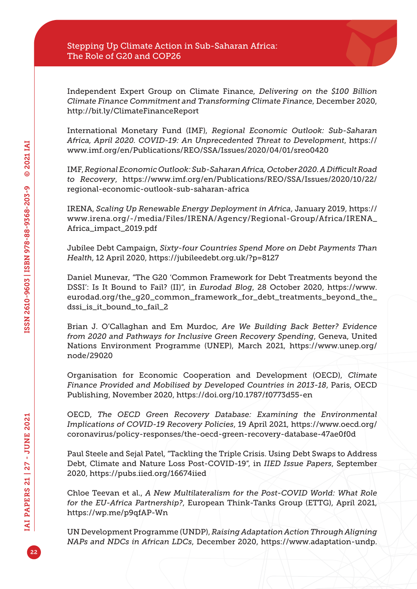Independent Expert Group on Climate Finance, *Delivering on the \$100 Billion Climate Finance Commitment and Transforming Climate Finance*, December 2020, <http://bit.ly/ClimateFinanceReport>

International Monetary Fund (IMF), *Regional Economic Outlook: Sub-Saharan Africa, April 2020. COVID-19: An Unprecedented Threat to Development*, [https://](https://www.imf.org/en/Publications/REO/SSA/Issues/2020/04/01/sreo0420) [www.imf.org/en/Publications/REO/SSA/Issues/2020/04/01/sreo0420](https://www.imf.org/en/Publications/REO/SSA/Issues/2020/04/01/sreo0420)

IMF, *Regional Economic Outlook: Sub-Saharan Africa, October 2020. A Difficult Road to Recovery*, [https://www.imf.org/en/Publications/REO/SSA/Issues/2020/10/22/](https://www.imf.org/en/Publications/REO/SSA/Issues/2020/10/22/regional-economic-outlook-sub-saharan-africa) [regional-economic-outlook-sub-saharan-africa](https://www.imf.org/en/Publications/REO/SSA/Issues/2020/10/22/regional-economic-outlook-sub-saharan-africa)

IRENA, *Scaling Up Renewable Energy Deployment in Africa*, January 2019, [https://](https://www.irena.org/-/media/Files/IRENA/Agency/Regional-Group/Africa/IRENA_Africa_impact_2019.pdf) [www.irena.org/-/media/Files/IRENA/Agency/Regional-Group/Africa/IRENA\\_](https://www.irena.org/-/media/Files/IRENA/Agency/Regional-Group/Africa/IRENA_Africa_impact_2019.pdf) [Africa\\_impact\\_2019.pdf](https://www.irena.org/-/media/Files/IRENA/Agency/Regional-Group/Africa/IRENA_Africa_impact_2019.pdf)

Jubilee Debt Campaign, *Sixty-four Countries Spend More on Debt Payments Than Health*, 12 April 2020, <https://jubileedebt.org.uk/?p=8127>

Daniel Munevar, "The G20 'Common Framework for Debt Treatments beyond the DSSI': Is It Bound to Fail? (II)", in *Eurodad Blog*, 28 October 2020, [https://www.](https://www.eurodad.org/the_g20_common_framework_for_debt_treatments_beyond_the_dssi_is_it_bound_to_fail_2) [eurodad.org/the\\_g20\\_common\\_framework\\_for\\_debt\\_treatments\\_beyond\\_the\\_](https://www.eurodad.org/the_g20_common_framework_for_debt_treatments_beyond_the_dssi_is_it_bound_to_fail_2) [dssi\\_is\\_it\\_bound\\_to\\_fail\\_2](https://www.eurodad.org/the_g20_common_framework_for_debt_treatments_beyond_the_dssi_is_it_bound_to_fail_2)

Brian J. O'Callaghan and Em Murdoc, *Are We Building Back Better? Evidence from 2020 and Pathways for Inclusive Green Recovery Spending*, Geneva, United Nations Environment Programme (UNEP), March 2021, [https://www.unep.org/](https://www.unep.org/node/29020) [node/29020](https://www.unep.org/node/29020)

Organisation for Economic Cooperation and Development (OECD), *Climate Finance Provided and Mobilised by Developed Countries in 2013-18*, Paris, OECD Publishing, November 2020,<https://doi.org/10.1787/f0773d55-en>

OECD, *The OECD Green Recovery Database: Examining the Environmental Implications of COVID-19 Recovery Policies*, 19 April 2021, [https://www.oecd.org/](https://www.oecd.org/coronavirus/policy-responses/the-oecd-green-recovery-database-47ae0f0d) [coronavirus/policy-responses/the-oecd-green-recovery-database-47ae0f0d](https://www.oecd.org/coronavirus/policy-responses/the-oecd-green-recovery-database-47ae0f0d)

Paul Steele and Sejal Patel, "Tackling the Triple Crisis. Using Debt Swaps to Address Debt, Climate and Nature Loss Post-COVID-19", in *IIED Issue Papers*, September 2020,<https://pubs.iied.org/16674iied>

Chloe Teevan et al., *A New Multilateralism for the Post-COVID World: What Role for the EU-Africa Partnership?*, European Think-Tanks Group (ETTG), April 2021, <https://wp.me/p9qfAP-Wn>

UN Development Programme (UNDP), *Raising Adaptation Action Through Aligning NAPs and NDCs in African LDCs*, December 2020, [https://www.adaptation-undp.](https://www.adaptation-undp.org/node/6534)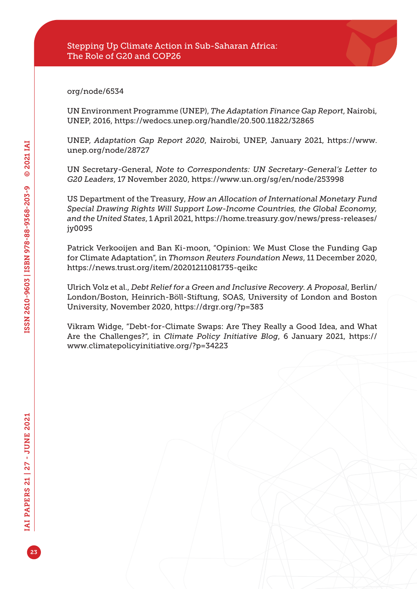[org/node/6534](https://www.adaptation-undp.org/node/6534)

UN Environment Programme (UNEP), *The Adaptation Finance Gap Report*, Nairobi, UNEP, 2016, <https://wedocs.unep.org/handle/20.500.11822/32865>

UNEP, *Adaptation Gap Report 2020*, Nairobi, UNEP, January 2021, [https://www.](https://www.unep.org/node/28727) [unep.org/node/28727](https://www.unep.org/node/28727)

UN Secretary-General, *Note to Correspondents: UN Secretary-General's Letter to G20 Leaders*, 17 November 2020, <https://www.un.org/sg/en/node/253998>

US Department of the Treasury, *How an Allocation of International Monetary Fund Special Drawing Rights Will Support Low-Income Countries, the Global Economy, and the United States*, 1 April 2021, [https://home.treasury.gov/news/press-releases/](https://home.treasury.gov/news/press-releases/jy0095) [jy0095](https://home.treasury.gov/news/press-releases/jy0095)

Patrick Verkooijen and Ban Ki-moon, "Opinion: We Must Close the Funding Gap for Climate Adaptation", in *Thomson Reuters Foundation News*, 11 December 2020, <https://news.trust.org/item/20201211081735-qeikc>

Ulrich Volz et al., *Debt Relief for a Green and Inclusive Recovery. A Proposal*, Berlin/ London/Boston, Heinrich-Böll-Stiftung, SOAS, University of London and Boston University, November 2020,<https://drgr.org/?p=383>

Vikram Widge, "Debt-for-Climate Swaps: Are They Really a Good Idea, and What Are the Challenges?", in *Climate Policy Initiative Blog*, 6 January 2021, [https://](https://www.climatepolicyinitiative.org/?p=34223) [www.climatepolicyinitiative.org/?p=34223](https://www.climatepolicyinitiative.org/?p=34223)